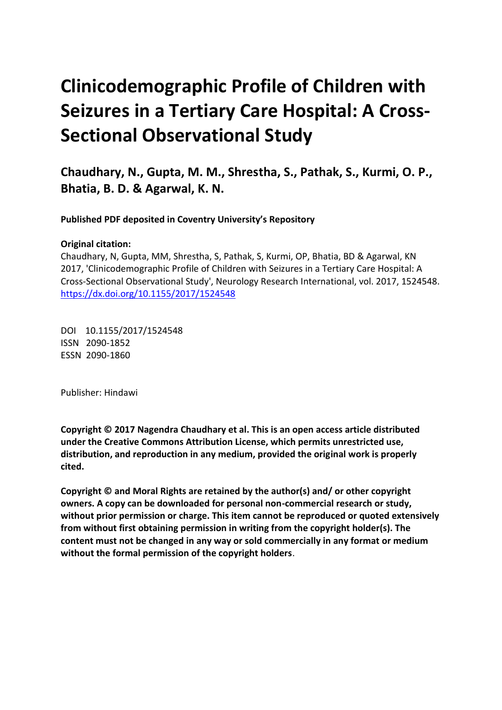# **Clinicodemographic Profile of Children with Seizures in a Tertiary Care Hospital: A Cross-Sectional Observational Study**

**Chaudhary, N., Gupta, M. M., Shrestha, S., Pathak, S., Kurmi, O. P., Bhatia, B. D. & Agarwal, K. N.** 

 **Published PDF deposited in Coventry University's Repository** 

# **Original citation:**

 Chaudhary, N, Gupta, MM, Shrestha, S, Pathak, S, Kurmi, OP, Bhatia, BD & Agarwal, KN 2017, 'Clinicodemographic Profile of Children with Seizures in a Tertiary Care Hospital: A Cross-Sectional Observational Study', Neurology Research International, vol. 2017, 1524548. https://dx.doi.org/10.1155/2017/1524548

 DOI 10.1155/2017/1524548 ISSN 2090-1852 ESSN 2090-1860

Publisher: Hindawi

 **Copyright © 2017 Nagendra Chaudhary et al. This is an open access article distributed under the Creative Commons Attribution License, which permits unrestricted use, distribution, and reproduction in any medium, provided the original work is properly cited.** 

 **Copyright © and Moral Rights are retained by the author(s) and/ or other copyright owners. A copy can be downloaded for personal non-commercial research or study, without prior permission or charge. This item cannot be reproduced or quoted extensively from without first obtaining permission in writing from the copyright holder(s). The content must not be changed in any way or sold commercially in any format or medium without the formal permission of the copyright holders**.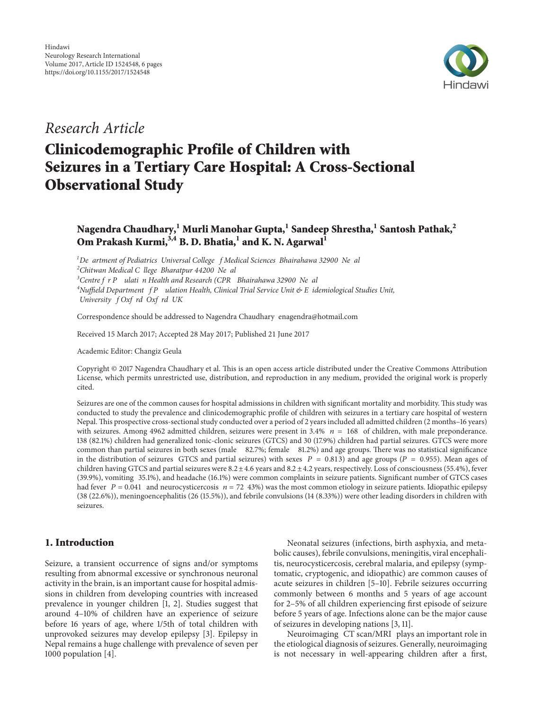

# *Research Article*

# **Clinicodemographic Profile of Children with Seizures in a Tertiary Care Hospital: A Cross-Sectional Observational Study**

# **Nagendra Chaudhary,1 Murli Manohar Gupta,1 Sandeep Shrestha,<sup>1</sup> Santosh Pathak,<sup>2</sup> Om Prakash Kurmi,**<sup>3,4</sup> **B. D. Bhatia**,<sup>1</sup> **and K. N. Agarwal**<sup>1</sup>

 ${}^{1}$ De artment of Pediatrics Universal College f Medical Sciences Bhairahawa 32900 Ne al *o , , p 2 Chitwan Medical C llege Bharatpur 44200 Ne al o op o ), , p 3 Centre f r P ulati n Health and Research (CPR Bhairahawa 32900 Ne al*  $4$ Nuffield Department  $fP$  ulation Health, Clinical Trial Service Unit & E idemiological Studies Unit, *o o , o , University f Oxf rd Oxf rd UK*

Correspondence should be addressed to Nagendra Chaudhary enagendra@hotmail.com

Received 15 March 2017; Accepted 28 May 2017; Published 21 June 2017

Academic Editor: Changiz Geula

Copyright © 2017 Nagendra Chaudhary et al. This is an open access article distributed under the Creative Commons Attribution License, which permits unrestricted use, distribution, and reproduction in any medium, provided the original work is properly cited.

with seizures. Among 4962 admitted children, seizures were present in  $3.4\%$   $n = 168$  of children, with male preponderance. common than partial seizures in both sexes (male 82.7%; female 81.2%) and age groups. There was no statistical significance in the distribution of seizures GTCS and partial seizures) with sexes  $P = 0.813$  and age groups ( $P = 0.955$ ). Mean ages of ( (39.9%), vomiting 35.1%), and headache (16.1%) were common complaints in seizure patients. Significant number of GTCS cases had fever  $P = 0.041$  and neurocysticercosis  $n = 72$  43%) was the most common etiology in seizure patients. Idiopathic epilepsy Seizures are one of the common causes for hospital admissions in children with significant mortality and morbidity. This study was conducted to study the prevalence and clinicodemographic profile of children with seizures in a tertiary care hospital of western Nepal. This prospective cross-sectionalstudy conducted over a period of 2 yearsincluded all admitted children (2 months–16 years) 138 (82.1%) children had generalized tonic-clonic seizures (GTCS) and 30 (17.9%) children had partial seizures. GTCS were more children having GTCS and partial seizures were 8.2±4.6 years and 8.2± 4.2 years, respectively. Loss of consciousness (55.4%), fever (38 (22.6%)), meningoencephalitis (26 (15.5%)), and febrile convulsions (14 (8.33%)) were other leading disorders in children with seizures.

# **1. Introduction**

Seizure, a transient occurrence of signs and/or symptoms resulting from abnormal excessive or synchronous neuronal activity in the brain, is an important cause for hospital admissions in children from developing countries with increased prevalence in younger children [\[1](#page-5-0), [2](#page-5-1)]. Studies suggest that around 4–10% of children have an experience of seizure before 16 years of age, where 1/5th of total children with unprovoked seizures may develop epilepsy [\[3](#page-5-2)]. Epilepsy in Nepal remains a huge challenge with prevalence of seven per 1000 population [\[4](#page-5-3)].

Neonatal seizures (infections, birth asphyxia, and metabolic causes), febrile convulsions, meningitis, viral encephalitis, neurocysticercosis, cerebral malaria, and epilepsy (symptomatic, cryptogenic, and idiopathic) are common causes of acute seizures in children [\[5](#page-5-4)[–10\]](#page-5-5). Febrile seizures occurring commonly between 6 months and 5 years of age account for 2–5% of all children experiencing first episode of seizure before 5 years of age. Infections alone can be the major cause of seizures in developing nations [\[3](#page-5-2), [11\]](#page-5-6).

Neuroimaging CT scan/MRI plays an important role in the etiological diagnosis of seizures. Generally, neuroimaging is not necessary in well-appearing children after a first,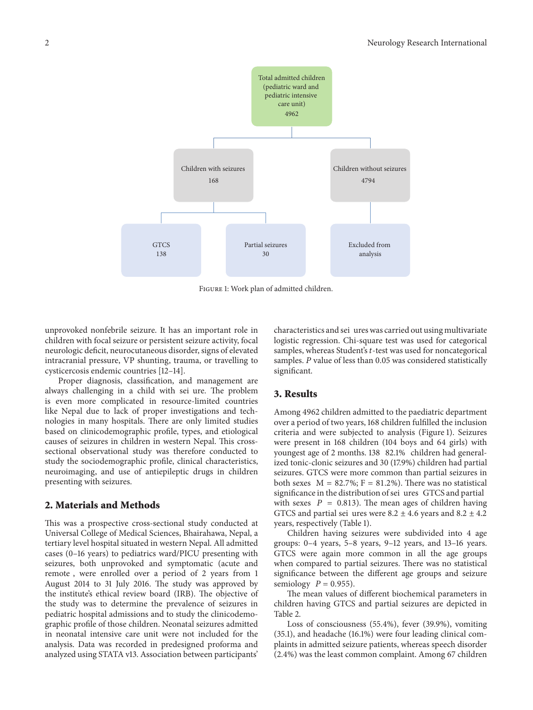

<span id="page-2-0"></span>Figure 1: Work plan of admitted children.

unprovoked nonfebrile seizure. It has an important role in children with focal seizure or persistent seizure activity, focal neurologic deficit, neurocutaneous disorder, signs of elevated intracranial pressure, VP shunting, trauma, or travelling to cysticercosis endemic countries [\[12](#page-5-7)[–14](#page-6-0)].

always challenging in a child with sei ure. The problem Proper diagnosis, classification, and management are is even more complicated in resource-limited countries like Nepal due to lack of proper investigations and technologies in many hospitals. There are only limited studies based on clinicodemographic profile, types, and etiological causes of seizures in children in western Nepal. This crosssectional observational study was therefore conducted to study the sociodemographic profile, clinical characteristics, neuroimaging, and use of antiepileptic drugs in children presenting with seizures.

#### **2. Materials and Methods**

) remote , were enrolled over a period of 2 years from 1 This was a prospective cross-sectional study conducted at Universal College of Medical Sciences, Bhairahawa, Nepal, a tertiary level hospital situated in western Nepal. All admitted cases (0–16 years) to pediatrics ward/PICU presenting with seizures, both unprovoked and symptomatic (acute and August 2014 to 31 July 2016. The study was approved by the institute's ethical review board (IRB). The objective of the study was to determine the prevalence of seizures in pediatric hospital admissions and to study the clinicodemographic profile of those children. Neonatal seizures admitted in neonatal intensive care unit were not included for the analysis. Data was recorded in predesigned proforma and analyzed using STATA v13. Association between participants'

characteristics and sei ures was carried out using multivariate logistic regression. Chi-square test was used for categorical samples, whereas Student's t-test was used for noncategorical samples. P value of less than 0.05 was considered statistically significant.

#### **3. Results**

youngest age of 2 months. 138 82.1% children had generalboth sexes  $M = 82.7\%$ ;  $F = 81.2\%$ ). There was no statistical significance in the distribution of sei ures GTCS and partial with sexes  $P = 0.813$ ). The mean ages of children having GTCS and partial sei ures were 8.2  $\pm$  4.6 years and 8.2  $\pm$  4.2 Among 4962 children admitted to the paediatric department over a period of two years, 168 children fulfilled the inclusion criteria and were subjected to analysis [\(Figure](#page-2-0) 1). Seizures were present in 168 children (104 boys and 64 girls) with ized tonic-clonic seizures and 30 (17.9%) children had partial seizures. GTCS were more common than partial seizures in years, respectively [\(Table](#page-3-0) 1).

semiology  $P = 0.955$ ). Children having seizures were subdivided into 4 age groups: 0–4 years, 5–8 years, 9–12 years, and 13–16 years. GTCS were again more common in all the age groups when compared to partial seizures. There was no statistical significance between the different age groups and seizure

The mean values of different biochemical parameters in children having GTCS and partial seizures are depicted in [Table](#page-3-1) 2.

Loss of consciousness (55.4%), fever (39.9%), vomiting (35.1), and headache (16.1%) were four leading clinical complaints in admitted seizure patients, whereas speech disorder (2.4%) was the least common complaint. Among 67 children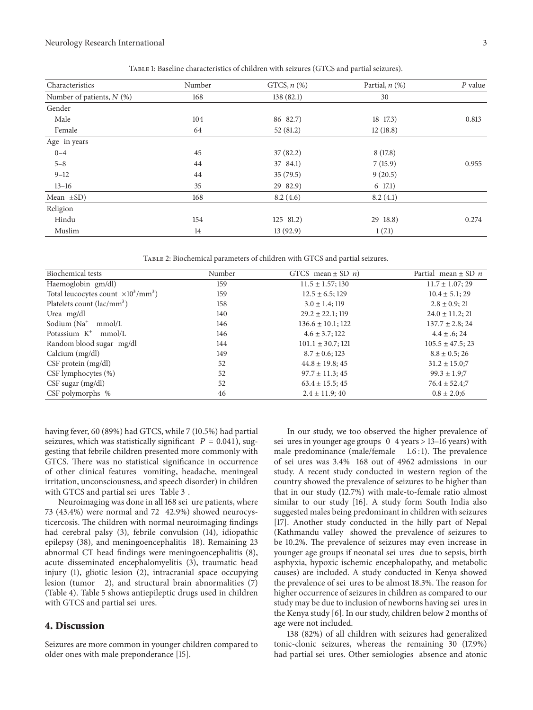seizures, which was statistically significant  $P = 0.041$ ), sugof other clinical features vomiting, headache, meningeal with GTCS and partial sei ures Table 3. having fever, 60 (89%) had GTCS, while 7 (10.5%) had partial gesting that febrile children presented more commonly with GTCS. There was no statistical significance in occurrence irritation, unconsciousness, and speech disorder) in children

Neuroimaging was done in all 168 sei ure patients, where ( 73 (43.4%) were normal and 72 42.9%) showed neurocys-( epilepsy (38), and meningoencephalitis 18). Remaining 23 ) ( lesion (tumor 2), and structural brain abnormalities (7) with GTCS and partial sei ures. ticercosis. The children with normal neuroimaging findings had cerebral palsy (3), febrile convulsion (14), idiopathic abnormal CT head findings were meningoencephalitis (8), acute disseminated encephalomyelitis (3), traumatic head injury (1), gliotic lesion (2), intracranial space occupying [\(Table](#page-4-1) 4). [Table](#page-4-2) 5 shows antiepileptic drugs used in children

#### **4. Discussion**

Seizures are more common in younger children compared to older ones with male preponderance [\[15](#page-6-1)].

sei ures in younger age groups 0 4 years > 13-16 years) with male predominance (male/female 1.6:1). The prevalence of sei ures was 3.4% 168 out of 4962 admissions in our ) (Kathmandu valley showed the prevalence of seizures to younger age groups if neonatal sei ures due to sepsis, birth the prevalence of sei ures to be almost 18.3%. The reason for study may be due to inclusion of newborns having sei ures in In our study, we too observed the higher prevalence of study. A recent study conducted in western region of the country showed the prevalence of seizures to be higher than that in our study (12.7%) with male-to-female ratio almost similar to our study [\[16\]](#page-6-2). A study form South India also suggested males being predominant in children with seizures [\[17\]](#page-6-3). Another study conducted in the hilly part of Nepal be 10.2%. The prevalence of seizures may even increase in asphyxia, hypoxic ischemic encephalopathy, and metabolic causes) are included. A study conducted in Kenya showed higher occurrence of seizures in children as compared to our the Kenya study [\[6\]](#page-5-8). In our study, children below 2 months of age were not included.

had partial sei ures. Other semiologies absence and atonic 138 (82%) of all children with seizures had generalized tonic-clonic seizures, whereas the remaining 30 (17.9%)

<span id="page-3-0"></span>Table 1: Baseline characteristics of children with seizures (GTCS and partial seizures).

| Characteristics             | Number | GTCS, $n$ $(\%)$ | Partial, $n$ $(\%)$ | $P$ value |
|-----------------------------|--------|------------------|---------------------|-----------|
| Number of patients, $N$ (%) | 168    | 138(82.1)        | 30                  |           |
| Gender                      |        |                  |                     |           |
| Male                        | 104    | 86 82.7)         | 18 17.3)            | 0.813     |
| Female                      | 64     | 52(81.2)         | 12(18.8)            |           |
| Age in years                |        |                  |                     |           |
| $0 - 4$                     | 45     | 37(82.2)         | 8(17.8)             |           |
| $5 - 8$                     | 44     | 37 84.1)         | 7(15.9)             | 0.955     |
| $9 - 12$                    | 44     | 35(79.5)         | 9(20.5)             |           |
| $13 - 16$                   | 35     | 29 82.9)         | $6\;17.1)$          |           |
| Mean $\pm SD$ )             | 168    | 8.2(4.6)         | 8.2(4.1)            |           |
| Religion                    |        |                  |                     |           |
| Hindu                       | 154    | $125$ 81.2)      | 29 18.8)            | 0.274     |
| Muslim                      | 14     | 13(92.9)         | 1(7.1)              |           |

<span id="page-3-1"></span>Table 2: Biochemical parameters of children with GTCS and partial seizures.

| <b>Biochemical tests</b>                           | Number | GTCS mean $\pm$ SD <i>n</i> ) | Partial mean $\pm$ SD n |
|----------------------------------------------------|--------|-------------------------------|-------------------------|
| Haemoglobin gm/dl)                                 | 159    | $11.5 \pm 1.57$ ; 130         | $11.7 \pm 1.07$ ; 29    |
| Total leucocytes count $\times 10^3/\text{mm}^3$ ) | 159    | $12.5 \pm 6.5$ ; 129          | $10.4 \pm 5.1$ ; 29     |
| Platelets count (lac/mm <sup>3</sup> )             | 158    | $3.0 \pm 1.4$ ; 119           | $2.8 \pm 0.9; 21$       |
| Urea mg/dl                                         | 140    | $29.2 \pm 22.1$ ; 119         | $24.0 \pm 11.2$ ; 21    |
| Sodium (Na <sup>+</sup><br>mmol/L                  | 146    | $136.6 \pm 10.1$ ; 122        | $137.7 \pm 2.8$ ; 24    |
| Potassium $K^+$<br>mmol/L                          | 146    | $4.6 \pm 3.7$ ; 122           | $4.4 \pm .6$ ; 24       |
| Random blood sugar mg/dl                           | 144    | $101.1 \pm 30.7; 121$         | $105.5 \pm 47.5$ ; 23   |
| Calcium (mg/dl)                                    | 149    | $8.7 \pm 0.6$ ; 123           | $8.8 \pm 0.5$ ; 26      |
| CSF protein (mg/dl)                                | 52     | $44.8 \pm 19.8$ ; 45          | $31.2 \pm 15.0;7$       |
| CSF lymphocytes (%)                                | 52     | $97.7 \pm 11.3$ ; 45          | $99.3 \pm 1.9;7$        |
| $CSF$ sugar $(mg/dl)$                              | 52     | $63.4 \pm 15.5$ ; 45          | $76.4 \pm 52.4;7$       |
| CSF polymorphs %                                   | 46     | $2.4 \pm 11.9$ ; 40           | $0.8 \pm 2.0;6$         |

Neurology Research International 3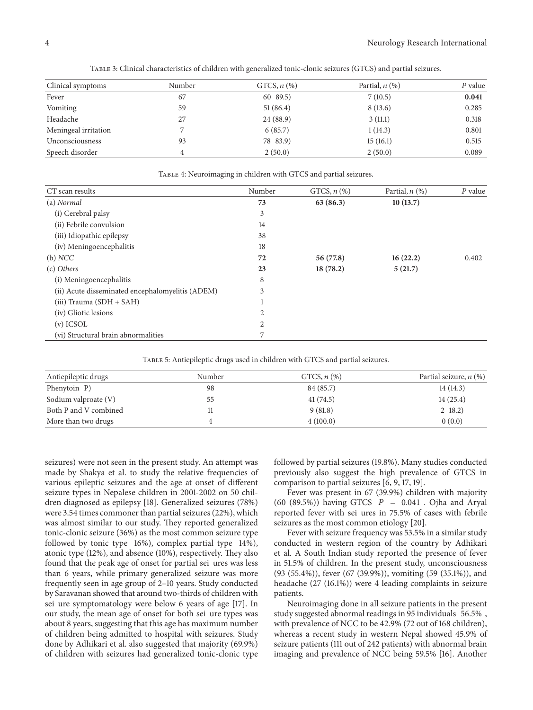| Clinical symptoms    | Number | GTCS, $n$ $(\%)$ | Partial, $n$ $(\%)$ | P value |
|----------------------|--------|------------------|---------------------|---------|
| Fever                | 67     | 60 89.5)         | 7(10.5)             | 0.041   |
| Vomiting             | 59     | 51(86.4)         | 8(13.6)             | 0.285   |
| Headache             | 27     | 24(88.9)         | 3(11.1)             | 0.318   |
| Meningeal irritation |        | 6(85.7)          | 1(14.3)             | 0.801   |
| Unconsciousness      | 93     | 78 83.9)         | 15(16.1)            | 0.515   |
| Speech disorder      |        | 2(50.0)          | 2(50.0)             | 0.089   |

<span id="page-4-0"></span>Table 3: Clinical characteristics of children with generalized tonic-clonic seizures (GTCS) and partial seizures.

| CT scan results                                  | Number         | GTCS, $n$ $(\%)$ | Partial, $n$ (%) | $P$ value |
|--------------------------------------------------|----------------|------------------|------------------|-----------|
| (a) Normal                                       | 73             | 63(86.3)         | 10(13.7)         |           |
| (i) Cerebral palsy                               | 3              |                  |                  |           |
| (ii) Febrile convulsion                          | 14             |                  |                  |           |
| (iii) Idiopathic epilepsy                        | 38             |                  |                  |           |
| (iv) Meningoencephalitis                         | 18             |                  |                  |           |
| (b) NCC                                          | 72             | 56 (77.8)        | 16(22.2)         | 0.402     |
| (c) Others                                       | 23             | 18(78.2)         | 5(21.7)          |           |
| (i) Meningoencephalitis                          | 8              |                  |                  |           |
| (ii) Acute disseminated encephalomyelitis (ADEM) | 3              |                  |                  |           |
| $(iii)$ Trauma $(SDH + SAH)$                     |                |                  |                  |           |
| (iv) Gliotic lesions                             | $\overline{2}$ |                  |                  |           |
| $(v)$ ICSOL                                      | $\overline{2}$ |                  |                  |           |
| (vi) Structural brain abnormalities              | 7              |                  |                  |           |

<span id="page-4-1"></span>Table 4: Neuroimaging in children with GTCS and partial seizures.

<span id="page-4-2"></span>Table 5: Antiepileptic drugs used in children with GTCS and partial seizures.

| Antiepileptic drugs   | Number | GTCS, $n$ $(\%)$ | Partial seizure, $n$ (%) |
|-----------------------|--------|------------------|--------------------------|
| Phenytoin P)          | 98     | 84 (85.7)        | 14(14.3)                 |
| Sodium valproate (V)  | 55     | 41(74.5)         | 14(25.4)                 |
| Both P and V combined |        | 9(81.8)          | $2 \t18.2$               |
| More than two drugs   |        | 4(100.0)         | 0(0.0)                   |

followed by tonic type 16%), complex partial type 14%), found that the peak age of onset for partial sei ures was less sei ure symptomatology were below 6 years of age [\[17\]](#page-6-3). In our study, the mean age of onset for both sei ure types was seizures) were not seen in the present study. An attempt was made by Shakya et al. to study the relative frequencies of various epileptic seizures and the age at onset of different seizure types in Nepalese children in 2001-2002 on 50 children diagnosed as epilepsy [\[18](#page-6-4)]. Generalized seizures (78%) were 3.54 times commoner than partial seizures (22%), which was almost similar to our study. They reported generalized tonic-clonic seizure (36%) as the most common seizure type atonic type (12%), and absence (10%), respectively. They also than 6 years, while primary generalized seizure was more frequently seen in age group of 2–10 years. Study conducted by Saravanan showed that around two-thirds of children with about 8 years, suggesting that this age has maximum number of children being admitted to hospital with seizures. Study done by Adhikari et al. also suggested that majority (69.9%) of children with seizures had generalized tonic-clonic type

followed by partial seizures (19.8%). Many studies conducted previously also suggest the high prevalence of GTCS in comparison to partial seizures [\[6,](#page-5-8) [9](#page-5-9), [17,](#page-6-3) [19](#page-6-5)].

 $(60 (89.5\%))$  having GTCS  $P = 0.041$ . Ojha and Aryal reported fever with sei ures in 75.5% of cases with febrile Fever was present in 67 (39.9%) children with majority seizures as the most common etiology [\[20](#page-6-6)].

Fever with seizure frequency was 53.5% in a similar study conducted in western region of the country by Adhikari et al. A South Indian study reported the presence of fever in 51.5% of children. In the present study, unconsciousness (93 (55.4%)), fever (67 (39.9%)), vomiting (59 (35.1%)), and headache (27 (16.1%)) were 4 leading complaints in seizure patients.

study suggested abnormal readings in 95 individuals 56.5%, Neuroimaging done in all seizure patients in the present with prevalence of NCC to be 42.9% (72 out of 168 children), whereas a recent study in western Nepal showed 45.9% of seizure patients (111 out of 242 patients) with abnormal brain imaging and prevalence of NCC being 59.5% [\[16](#page-6-2)]. Another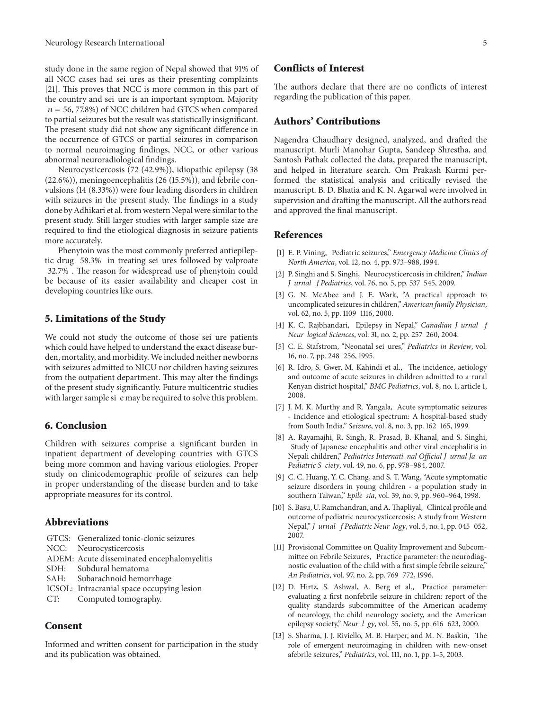all NCC cases had sei ures as their presenting complaints the country and sei ure is an important symptom. Majority  $n = 56, 77.8\%)$  of NCC children had GTCS when compared study done in the same region of Nepal showed that 91% of [\[21](#page-6-7)]. This proves that NCC is more common in this part of to partial seizures but the result was statistically insignificant. The present study did not show any significant difference in the occurrence of GTCS or partial seizures in comparison to normal neuroimaging findings, NCC, or other various abnormal neuroradiological findings.

Neurocysticercosis (72 (42.9%)), idiopathic epilepsy (38 (22.6%)), meningoencephalitis (26 (15.5%)), and febrile convulsions (14 (8.33%)) were four leading disorders in children with seizures in the present study. The findings in a study done by Adhikari et al. from western Nepal were similar to the present study. Still larger studies with larger sample size are required to find the etiological diagnosis in seizure patients more accurately.

tic drug 58.3% in treating sei ures followed by valproate 32.7% . The reason for widespread use of phenytoin could Phenytoin was the most commonly preferred antiepilepbe because of its easier availability and cheaper cost in developing countries like ours.

#### **5. Limitations of the Study**

We could not study the outcome of those sei ure patients with larger sample si e may be required to solve this problem. which could have helped to understand the exact disease burden, mortality, and morbidity. We included neither newborns with seizures admitted to NICU nor children having seizures from the outpatient department. This may alter the findings of the present study significantly. Future multicentric studies

## **6. Conclusion**

Children with seizures comprise a significant burden in inpatient department of developing countries with GTCS being more common and having various etiologies. Proper study on clinicodemographic profile of seizures can help in proper understanding of the disease burden and to take appropriate measures for its control.

### **Abbreviations**

|     | GTCS: Generalized tonic-clonic seizures    |
|-----|--------------------------------------------|
|     | NCC: Neurocysticercosis                    |
|     | ADEM: Acute disseminated encephalomyelitis |
|     | SDH: Subdural hematoma                     |
|     | SAH: Subarachnoid hemorrhage               |
|     | ICSOL: Intracranial space occupying lesion |
| CT: | Computed tomography.                       |

#### **Consent**

Informed and written consent for participation in the study and its publication was obtained.

#### **Conflicts of Interest**

The authors declare that there are no conflicts of interest regarding the publication of this paper.

## **Authors' Contributions**

Nagendra Chaudhary designed, analyzed, and drafted the manuscript. Murli Manohar Gupta, Sandeep Shrestha, and Santosh Pathak collected the data, prepared the manuscript, and helped in literature search. Om Prakash Kurmi performed the statistical analysis and critically revised the manuscript. B. D. Bhatia and K. N. Agarwal were involved in supervision and drafting the manuscript. All the authors read and approved the final manuscript.

#### **References**

- <span id="page-5-0"></span>[1] E. P. Vining, Pediatric seizures," *Emergency Medicine Clinics of North America*, vol. 12, no. 4, pp. 973–988, 1994.
- <span id="page-5-1"></span>[2] P. Singhi and S. Singhi, Neurocysticercosis in children," *Indian o o* – *J urnal f Pediatrics*, vol. 76, no. 5, pp. 537 545, 2009.
- <span id="page-5-2"></span>– vol. 62, no. 5, pp. 1109 1116, 2000. [3] G. N. McAbee and J. E. Wark, "A practical approach to uncomplicated seizuresin children," *American family Physician*,
- <span id="page-5-3"></span>[4] K. C. Rajbhandari, Epilepsy in Nepal," Canadian J urnal *j o* – *Neur logical Sciences*, vol. 31, no. 2, pp. 257 260, 2004.
- <span id="page-5-4"></span>z [5] C. E. Stafstrom, "Neonatal sei ures," *Pediatrics in Review*, vol. – 16, no. 7, pp. 248 256, 1995.
- <span id="page-5-8"></span>[6] R. Idro, S. Gwer, M. Kahindi et al., The incidence, aetiology and outcome of acute seizures in children admitted to a rural Kenyan district hospital," *BMC Pediatrics*, vol. 8, no. 1, article 1, 2008.
- [7] J. M. K. Murthy and R. Yangala, Acute symptomatic seizures – from South India," *Seizure*, vol. 8, no. 3, pp. 162 165, 1999. - Incidence and etiological spectrum: A hospital-based study
- Study of Japanese encephalitis and other viral encephalitis in *o o p* Nepali children," *Pediatrics Internati nal Official J urnal Ja an o Pediatric S ciety*, vol. 49, no. 6, pp. 978–984, 2007. [8] A. Rayamajhi, R. Singh, R. Prasad, B. Khanal, and S. Singhi,
- <span id="page-5-9"></span>*p* southern Taiwan," *Epile sia*, vol. 39, no. 9, pp. 960–964, 1998. [9] C. C. Huang, Y. C. Chang, and S. T. Wang, "Acute symptomatic seizure disorders in young children - a population study in
- <span id="page-5-5"></span>[10] S. Basu, U. Ramchandran, and A. Thapliyal, Clinical profile and *o o o* – Nepal," *J urnal f Pediatric Neur logy*, vol. 5, no. 1, pp. 045 052, outcome of pediatric neurocysticercosis: A study from Western 2007.
- <span id="page-5-6"></span>mittee on Febrile Seizures, Practice parameter: the neurodiag-– *An Pediatrics*, vol. 97, no. 2, pp. 769 772, 1996. [11] Provisional Committee on Quality Improvement and Subcomnostic evaluation of the child with a first simple febrile seizure,"
- <span id="page-5-7"></span>[12] D. Hirtz, S. Ashwal, A. Berg et al., Practice parameter: *o o* – epilepsy society," *Neur l gy*, vol. 55, no. 5, pp. 616 623, 2000. evaluating a first nonfebrile seizure in children: report of the quality standards subcommittee of the American academy of neurology, the child neurology society, and the American
- [13] S. Sharma, J. J. Riviello, M. B. Harper, and M. N. Baskin, The role of emergent neuroimaging in children with new-onset afebrile seizures," *Pediatrics*, vol. 111, no. 1, pp. 1–5, 2003.